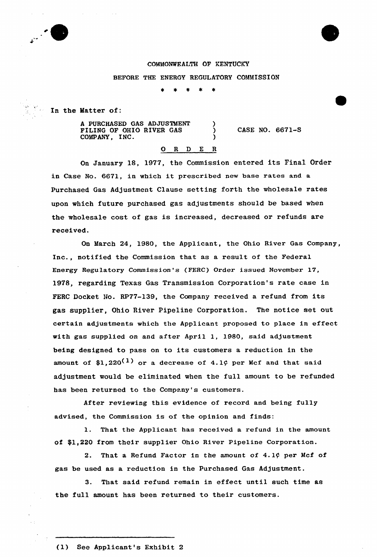

## COMMONWEALTH OF KENTUCKY

BEFORE THE ENERGY REGULATORY COMMISSION

In the Matter of:

A PURCHASED GAS ADJUSTMENT FILING OF OHIO RIVER GAS COMPANY, INC.

CASE NO. 6671-S

## 0 <sup>R</sup> <sup>D</sup> <sup>E</sup> <sup>R</sup>

On January 18, 1977, the Commission entered its Final Order in Case No. 6671, in which it prescribed new base rates and <sup>a</sup> Purchased Gas Adjustment Clause setting forth the wholesale rates upon which future purchased gas adjustments should be based when the wholesale cost of gas is increased, decreased or refunds are received.

On March 24, 1980, the Applicant, the Ohio River Gas Company, Inc., notified the Commission that as a result of the Federal Energy Regu1atory Commission's (FERC) Order issued November 17, 1978, regarding Texas Gas Transmission Corporation's rate case in FERC Docket No. RP77-139, the Company received a refund from its gas supplier, Ohio River Pipeline Corporation. The notice set out certain adjustments which the Applicant proposed to place in effect with gas supplied on and after April 1, 1980, said adjustment being designed to pass on to its customers a reduction in the amount of \$1,220<sup>(1)</sup> or a decrease of 4.1¢ per Mcf and that said adjustment would be eliminated when the full amount to be refunded has been returned to the Company's customers.

After reviewing this evidence of record and being fully advised, the Commission is of the opinion and finds:

That the Applicant has received a refund in the amount of \$1,220 from their supplier Ohio River Pipeline Corporation.

2. That a Refund Factor in the amount of  $4.1$  $\zeta$  per Mcf of gas be used as a reduction in the Purchased Gas Adjustment.

3. That said refund remain in effect until such time as the full amount has been returned to their customers.